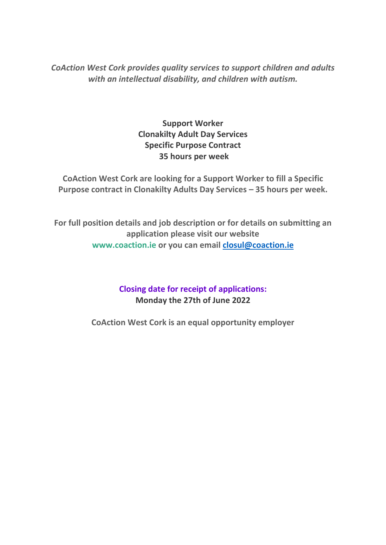*CoAction West Cork provides quality services to support children and adults with an intellectual disability, and children with autism.*

> **Support Worker Clonakilty Adult Day Services Specific Purpose Contract 35 hours per week**

**CoAction West Cork are looking for a Support Worker to fill a Specific Purpose contract in Clonakilty Adults Day Services – 35 hours per week.**

**For full position details and job description or for details on submitting an application please visit our website [www.coaction.ie](http://www.coaction.ie/) or you can email [closul@coaction.ie](mailto:closul@coaction.ie)**

> **Closing date for receipt of applications: Monday the 27th of June 2022**

**CoAction West Cork is an equal opportunity employer**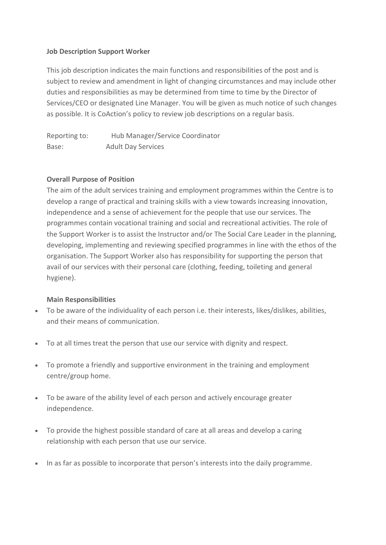# **Job Description Support Worker**

This job description indicates the main functions and responsibilities of the post and is subject to review and amendment in light of changing circumstances and may include other duties and responsibilities as may be determined from time to time by the Director of Services/CEO or designated Line Manager. You will be given as much notice of such changes as possible. It is CoAction's policy to review job descriptions on a regular basis.

Reporting to: Hub Manager/Service Coordinator Base: Adult Day Services

# **Overall Purpose of Position**

The aim of the adult services training and employment programmes within the Centre is to develop a range of practical and training skills with a view towards increasing innovation, independence and a sense of achievement for the people that use our services. The programmes contain vocational training and social and recreational activities. The role of the Support Worker is to assist the Instructor and/or The Social Care Leader in the planning, developing, implementing and reviewing specified programmes in line with the ethos of the organisation. The Support Worker also has responsibility for supporting the person that avail of our services with their personal care (clothing, feeding, toileting and general hygiene).

#### **Main Responsibilities**

- To be aware of the individuality of each person i.e. their interests, likes/dislikes, abilities, and their means of communication.
- To at all times treat the person that use our service with dignity and respect.
- To promote a friendly and supportive environment in the training and employment centre/group home.
- To be aware of the ability level of each person and actively encourage greater independence.
- To provide the highest possible standard of care at all areas and develop a caring relationship with each person that use our service.
- In as far as possible to incorporate that person's interests into the daily programme.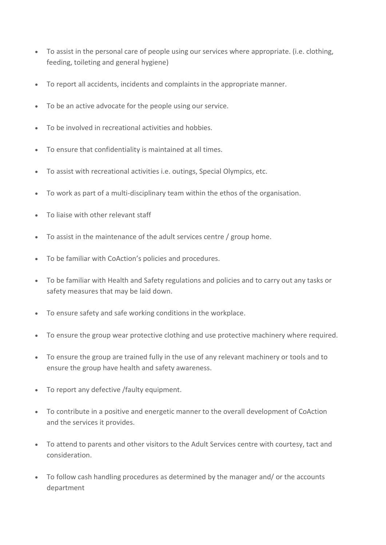- To assist in the personal care of people using our services where appropriate. (i.e. clothing, feeding, toileting and general hygiene)
- To report all accidents, incidents and complaints in the appropriate manner.
- To be an active advocate for the people using our service.
- To be involved in recreational activities and hobbies.
- To ensure that confidentiality is maintained at all times.
- To assist with recreational activities i.e. outings, Special Olympics, etc.
- To work as part of a multi-disciplinary team within the ethos of the organisation.
- To liaise with other relevant staff
- To assist in the maintenance of the adult services centre / group home.
- To be familiar with CoAction's policies and procedures.
- To be familiar with Health and Safety regulations and policies and to carry out any tasks or safety measures that may be laid down.
- To ensure safety and safe working conditions in the workplace.
- To ensure the group wear protective clothing and use protective machinery where required.
- To ensure the group are trained fully in the use of any relevant machinery or tools and to ensure the group have health and safety awareness.
- To report any defective /faulty equipment.
- To contribute in a positive and energetic manner to the overall development of CoAction and the services it provides.
- To attend to parents and other visitors to the Adult Services centre with courtesy, tact and consideration.
- To follow cash handling procedures as determined by the manager and/ or the accounts department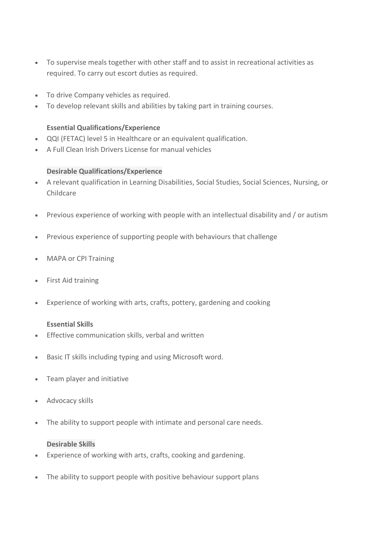- To supervise meals together with other staff and to assist in recreational activities as required. To carry out escort duties as required.
- To drive Company vehicles as required.
- To develop relevant skills and abilities by taking part in training courses.

## **Essential Qualifications/Experience**

- QQI (FETAC) level 5 in Healthcare or an equivalent qualification.
- A Full Clean Irish Drivers License for manual vehicles

### **Desirable Qualifications/Experience**

- A relevant qualification in Learning Disabilities, Social Studies, Social Sciences, Nursing, or Childcare
- Previous experience of working with people with an intellectual disability and / or autism
- Previous experience of supporting people with behaviours that challenge
- MAPA or CPI Training
- First Aid training
- Experience of working with arts, crafts, pottery, gardening and cooking

# **Essential Skills**

- Effective communication skills, verbal and written
- Basic IT skills including typing and using Microsoft word.
- Team player and initiative
- Advocacy skills
- The ability to support people with intimate and personal care needs.

#### **Desirable Skills**

- Experience of working with arts, crafts, cooking and gardening.
- The ability to support people with positive behaviour support plans